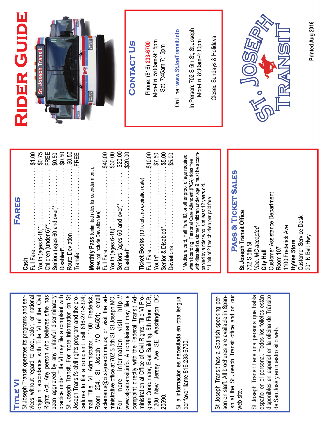#### **Title VI TITLE VI**

vices without regard to race, color, or national origin in accordance with Title VI of the Civil Rights Act. Any person who believes s/he has been aggrieved by any unlawful discriminatory practice under Title VI may file a complaint with St Joseph Transit. For more information on St cedures to file a complaint, call 816-271-5324; mail Title VI Administrator, 1100 Frederick, Room 204, St Joseph MO 64501; email ministrative office at 702 S 5th St, St Joseph MO. www.stjoetransit.info. A complainant may file a gram Coordinator, East Building, 5th Floor TCR, 1200 New Jersey Ave SE, Washington DC Rights Act. Any person who believes s/he has www.stjoetransit.info. A complainant may file a 1200 New Jersey Ave SE, Washington DC St Joseph Transit operates its programs and services without regard to race, color, or national origin in accordance with Title VI of the Civil been aggrieved by any unlawful discriminatory practice under Title VI may file a complaint with St Joseph Transit. For more information on St Joseph Transit's civil rights program and the procedures to file a complaint, call 816-271-5324; Room 204, St Joseph MO 64501; email aclements@ci.st-joseph.mo.us; or visit the admore information visit http:// For more information visit http:// complaint directly with the Federal Transit Administration at Office of Civil Rights, Title VI Program Coordinator, East Building, 5th Floor TCR, St Joseph Transit operates its programs and ser-Joseph Transit's civil rights program and the promail Title VI Administrator, 1100 Frederick, aclements@ci.st-joseph.mo.us; or visit the administrative office at 702 S 5th St, St Joseph MO. complaint directly with the Federal Transit Administration at Office of Civil Rights, Title VI Pro-For 20590.

Si la informacion es necesitada en otra lengua, Si la informacion es necesitada en otra lengua, por favor llame 816-233-6700. por favor llame 816-233-6700.

ish at the St Joseph Transit office and on our son on staff. All brochures are available in Spanish at the St Joseph Transit office and on our St Joseph Transit has a Spanish speaking per-St Joseph Transit has a Spanish speaking person on staff. All brochures are available in Spanweb site.

St Joseph Transit tiene una persona que habla St Joseph Transit tiene una persona que habla español en el personal. Todos los folletos están disponibles en español en la oficina de Tránsito español en el personal. Todos los folletos están disponibles en español en la oficina de Tránsito de San José y en nuestro sitio web. de San José y en nuestro sitio web.

| FARES                                   |
|-----------------------------------------|
| Cash                                    |
| \$1.00<br>Full Fare                     |
| \$0.75<br>Youth (ages 6-18)*            |
| FREE<br>Children (under 6)**            |
| Seniors (ages 60 and over)*             |
| \$0.50<br>\$0.50<br>\$0.50<br>Disabled* |
| Route Deviation                         |
| FREE<br>Transfer                        |
|                                         |

| Monthly Pass (unlimited rides for calendar month; |
|---------------------------------------------------|
| does not include Deviation fee)                   |
| 340.00                                            |
| \$30.00<br>Youth (ages 6-18)*                     |
| $-$ \$20.00<br>Seniors (ages 60 and over)*        |
| \$20.00<br>Disabled*                              |
|                                                   |
| Ticket Books (10 tickets, no expiration date)     |
| \$10.00                                           |
| $00 \times 10^{-10}$ .                            |

with disabled customer; children under age 9 must be accomwith disabled customer; children under age 9 must be accom-\* Medicare card, Half Fare ID, or other proof of age required \* Medicare card, Half Fare ID, or other proof of age required when boarding; Personal Care Attendant (PCA) rides free when boarding; Personal Care Attendant (PCA) rides free panied by a rider who is at least 12 years old. panied by a rider who is at least 12 years old.<br>\*\* Limit of 2 free children per paid fare \*\* Limit of 2 free children per paid fare

Senior & Disabled\*. . . . . . . . . . . . . . . . . . . . . \$5.00 Deviations . . . . . . . . . . . . . . . . . \$5.00

Deviations ...

\$5.00

Senior & Disabled\*<br>
Senior & Disabled\*

## PASS & TICKET SALES **Pass & Ticket Sales**

Customer Assistance Department Customer Assistance Department **St Joseph Transit Office**  St Joseph Transit Office Customer Service Desk **Customer Service Desk** 1100 Frederick Ave 1100 Frederick Ave Visa, MC accepted *Visa, MC accepted*  201 N Belt Hwy 201 N Belt Hwy **HyVee Store HyVee Store**  702 S 5th St 702 S 5th St Room 107 Room 107 **City Hall** 

# **Rider Guide**  RIDER GUIDE



#### **Contact Us**  CONTACT US

Mon-Fri 5:00am-9:15pm Mon-Fri 5:00am-9:15pm Phone: (816) 233-6700 Phone: (816) **233-6700** Sat 7:45am-7:15pm Sat 7:45am-7:15pm On Line: www.StJoeTransit.info On Line: **www.StJoeTransit.info**

In Person: 702 S 5th St, St Joseph In Person: 702 S 5th St, St Joseph Mon-Fri 8:30am-4:30pm Mon-Fri 8:30am-4:30pm

Closed Sundays & Holidays Closed Sundays & Holidays



**Printed Aug 2016** Printed Aug 2016